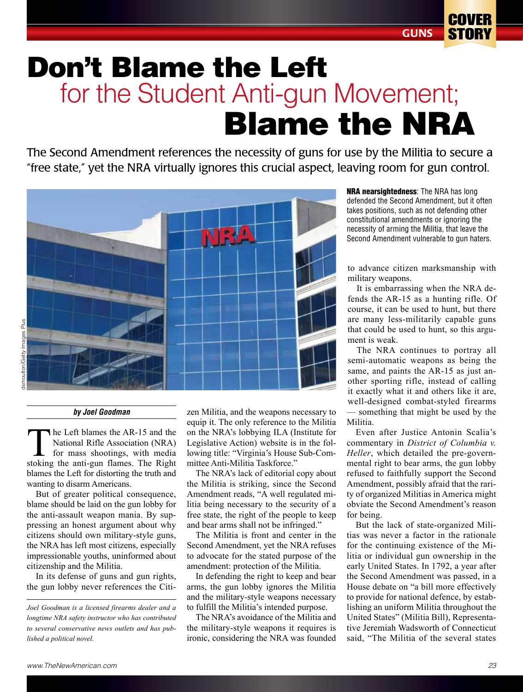## Don't Blame the Left Blame the NRA for the Student Anti-gun Movement;

The Second Amendment references the necessity of guns for use by the Militia to secure a "free state," yet the NRA virtually ignores this crucial aspect, leaving room for gun control.



## *by Joel Goodman*

The Left blames the AR-15 and the National Rifle Association (NRA) for mass shootings, with media stoking the anti-gun flames. The Right blames the Left for distorting the truth and wanting to disarm Americans.

But of greater political consequence, blame should be laid on the gun lobby for the anti-assault weapon mania. By suppressing an honest argument about why citizens should own military-style guns, the NRA has left most citizens, especially impressionable youths, uninformed about citizenship and the Militia.

In its defense of guns and gun rights, the gun lobby never references the Citi-

zen Militia, and the weapons necessary to equip it. The only reference to the Militia on the NRA's lobbying ILA (Institute for Legislative Action) website is in the following title: "Virginia's House Sub-Committee Anti-Militia Taskforce."

The NRA's lack of editorial copy about the Militia is striking, since the Second Amendment reads, "A well regulated militia being necessary to the security of a free state, the right of the people to keep and bear arms shall not be infringed."

The Militia is front and center in the Second Amendment, yet the NRA refuses to advocate for the stated purpose of the amendment: protection of the Militia.

In defending the right to keep and bear arms, the gun lobby ignores the Militia and the military-style weapons necessary to fulfill the Militia's intended purpose.

The NRA's avoidance of the Militia and the military-style weapons it requires is ironic, considering the NRA was founded **NRA nearsightedness:** The NRA has long defended the Second Amendment, but it often takes positions, such as not defending other constitutional amendments or ignoring the necessity of arming the Militia, that leave the Second Amendment vulnerable to gun haters.

to advance citizen marksmanship with military weapons.

It is embarrassing when the NRA defends the AR-15 as a hunting rifle. Of course, it can be used to hunt, but there are many less-militarily capable guns that could be used to hunt, so this argument is weak.

The NRA continues to portray all semi-automatic weapons as being the same, and paints the AR-15 as just another sporting rifle, instead of calling it exactly what it and others like it are, well-designed combat-styled firearms — something that might be used by the Militia.

Even after Justice Antonin Scalia's commentary in *District of Columbia v. Heller*, which detailed the pre-governmental right to bear arms, the gun lobby refused to faithfully support the Second Amendment, possibly afraid that the rarity of organized Militias in America might obviate the Second Amendment's reason for being.

But the lack of state-organized Militias was never a factor in the rationale for the continuing existence of the Militia or individual gun ownership in the early United States. In 1792, a year after the Second Amendment was passed, in a House debate on "a bill more effectively to provide for national defence, by establishing an uniform Militia throughout the United States" (Militia Bill), Representative Jeremiah Wadsworth of Connecticut said, "The Militia of the several states

*Joel Goodman is a licensed firearms dealer and a longtime NRA safety instructor who has contributed to several conservative news outlets and has published a political novel.*